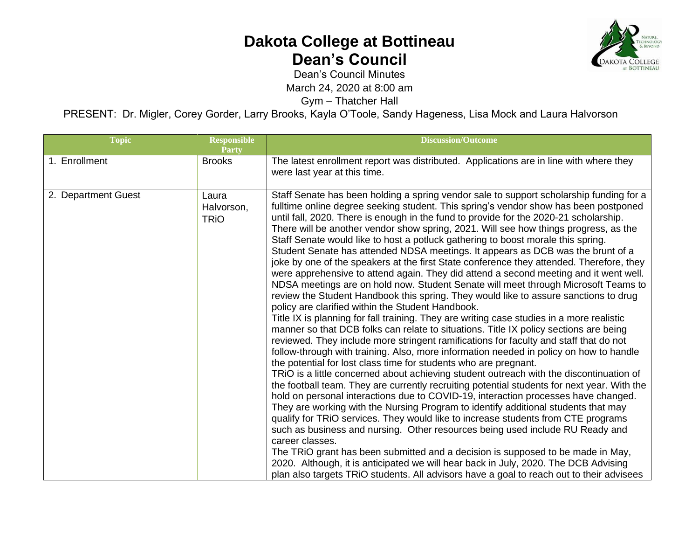

Dean's Council Minutes

March 24, 2020 at 8:00 am

Gym – Thatcher Hall

PRESENT: Dr. Migler, Corey Gorder, Larry Brooks, Kayla O'Toole, Sandy Hageness, Lisa Mock and Laura Halvorson

| <b>Topic</b>        | <b>Responsible</b><br><b>Party</b> | <b>Discussion/Outcome</b>                                                                                                                                                                                                                                                                                                                                                                                                                                                                                                                                                                                                                                                                                                                                                                                                                                                                                                                                                                                                                                                                                                                                                                                                                                                                                                                                                                                                                                                                                                                                                                                                                                                                                                                                                                                                                                                                                                                                                                                                                                                                                                                                                                                                                         |
|---------------------|------------------------------------|---------------------------------------------------------------------------------------------------------------------------------------------------------------------------------------------------------------------------------------------------------------------------------------------------------------------------------------------------------------------------------------------------------------------------------------------------------------------------------------------------------------------------------------------------------------------------------------------------------------------------------------------------------------------------------------------------------------------------------------------------------------------------------------------------------------------------------------------------------------------------------------------------------------------------------------------------------------------------------------------------------------------------------------------------------------------------------------------------------------------------------------------------------------------------------------------------------------------------------------------------------------------------------------------------------------------------------------------------------------------------------------------------------------------------------------------------------------------------------------------------------------------------------------------------------------------------------------------------------------------------------------------------------------------------------------------------------------------------------------------------------------------------------------------------------------------------------------------------------------------------------------------------------------------------------------------------------------------------------------------------------------------------------------------------------------------------------------------------------------------------------------------------------------------------------------------------------------------------------------------------|
| 1. Enrollment       | <b>Brooks</b>                      | The latest enrollment report was distributed. Applications are in line with where they<br>were last year at this time.                                                                                                                                                                                                                                                                                                                                                                                                                                                                                                                                                                                                                                                                                                                                                                                                                                                                                                                                                                                                                                                                                                                                                                                                                                                                                                                                                                                                                                                                                                                                                                                                                                                                                                                                                                                                                                                                                                                                                                                                                                                                                                                            |
| 2. Department Guest | Laura<br>Halvorson,<br><b>TRIO</b> | Staff Senate has been holding a spring vendor sale to support scholarship funding for a<br>fulltime online degree seeking student. This spring's vendor show has been postponed<br>until fall, 2020. There is enough in the fund to provide for the 2020-21 scholarship.<br>There will be another vendor show spring, 2021. Will see how things progress, as the<br>Staff Senate would like to host a potluck gathering to boost morale this spring.<br>Student Senate has attended NDSA meetings. It appears as DCB was the brunt of a<br>joke by one of the speakers at the first State conference they attended. Therefore, they<br>were apprehensive to attend again. They did attend a second meeting and it went well.<br>NDSA meetings are on hold now. Student Senate will meet through Microsoft Teams to<br>review the Student Handbook this spring. They would like to assure sanctions to drug<br>policy are clarified within the Student Handbook.<br>Title IX is planning for fall training. They are writing case studies in a more realistic<br>manner so that DCB folks can relate to situations. Title IX policy sections are being<br>reviewed. They include more stringent ramifications for faculty and staff that do not<br>follow-through with training. Also, more information needed in policy on how to handle<br>the potential for lost class time for students who are pregnant.<br>TRIO is a little concerned about achieving student outreach with the discontinuation of<br>the football team. They are currently recruiting potential students for next year. With the<br>hold on personal interactions due to COVID-19, interaction processes have changed.<br>They are working with the Nursing Program to identify additional students that may<br>qualify for TRiO services. They would like to increase students from CTE programs<br>such as business and nursing. Other resources being used include RU Ready and<br>career classes.<br>The TRiO grant has been submitted and a decision is supposed to be made in May,<br>2020. Although, it is anticipated we will hear back in July, 2020. The DCB Advising<br>plan also targets TRiO students. All advisors have a goal to reach out to their advisees |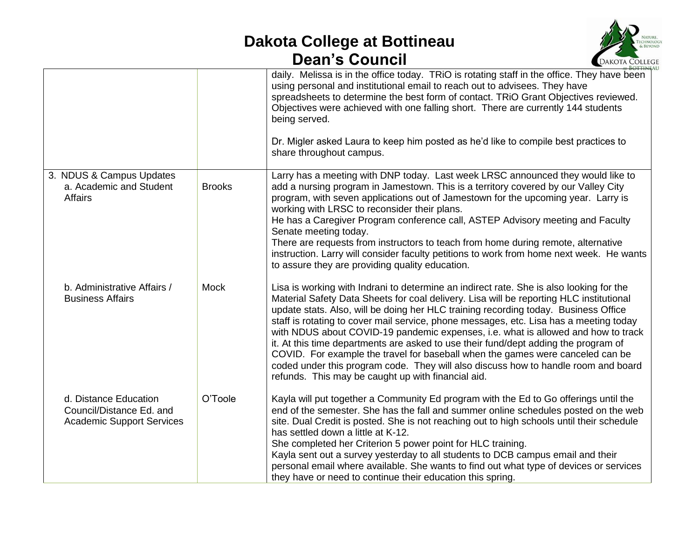

|                                                                                       |               | daily. Melissa is in the office today. TRIO is rotating staff in the office. They have been<br>using personal and institutional email to reach out to advisees. They have<br>spreadsheets to determine the best form of contact. TRiO Grant Objectives reviewed.<br>Objectives were achieved with one falling short. There are currently 144 students<br>being served.<br>Dr. Migler asked Laura to keep him posted as he'd like to compile best practices to<br>share throughout campus.                                                                                                                                                                                                                                                                                     |
|---------------------------------------------------------------------------------------|---------------|-------------------------------------------------------------------------------------------------------------------------------------------------------------------------------------------------------------------------------------------------------------------------------------------------------------------------------------------------------------------------------------------------------------------------------------------------------------------------------------------------------------------------------------------------------------------------------------------------------------------------------------------------------------------------------------------------------------------------------------------------------------------------------|
| 3. NDUS & Campus Updates<br>a. Academic and Student<br><b>Affairs</b>                 | <b>Brooks</b> | Larry has a meeting with DNP today. Last week LRSC announced they would like to<br>add a nursing program in Jamestown. This is a territory covered by our Valley City<br>program, with seven applications out of Jamestown for the upcoming year. Larry is<br>working with LRSC to reconsider their plans.<br>He has a Caregiver Program conference call, ASTEP Advisory meeting and Faculty<br>Senate meeting today.<br>There are requests from instructors to teach from home during remote, alternative<br>instruction. Larry will consider faculty petitions to work from home next week. He wants<br>to assure they are providing quality education.                                                                                                                     |
| b. Administrative Affairs /<br><b>Business Affairs</b>                                | <b>Mock</b>   | Lisa is working with Indrani to determine an indirect rate. She is also looking for the<br>Material Safety Data Sheets for coal delivery. Lisa will be reporting HLC institutional<br>update stats. Also, will be doing her HLC training recording today. Business Office<br>staff is rotating to cover mail service, phone messages, etc. Lisa has a meeting today<br>with NDUS about COVID-19 pandemic expenses, i.e. what is allowed and how to track<br>it. At this time departments are asked to use their fund/dept adding the program of<br>COVID. For example the travel for baseball when the games were canceled can be<br>coded under this program code. They will also discuss how to handle room and board<br>refunds. This may be caught up with financial aid. |
| d. Distance Education<br>Council/Distance Ed. and<br><b>Academic Support Services</b> | O'Toole       | Kayla will put together a Community Ed program with the Ed to Go offerings until the<br>end of the semester. She has the fall and summer online schedules posted on the web<br>site. Dual Credit is posted. She is not reaching out to high schools until their schedule<br>has settled down a little at K-12.<br>She completed her Criterion 5 power point for HLC training.<br>Kayla sent out a survey yesterday to all students to DCB campus email and their<br>personal email where available. She wants to find out what type of devices or services<br>they have or need to continue their education this spring.                                                                                                                                                      |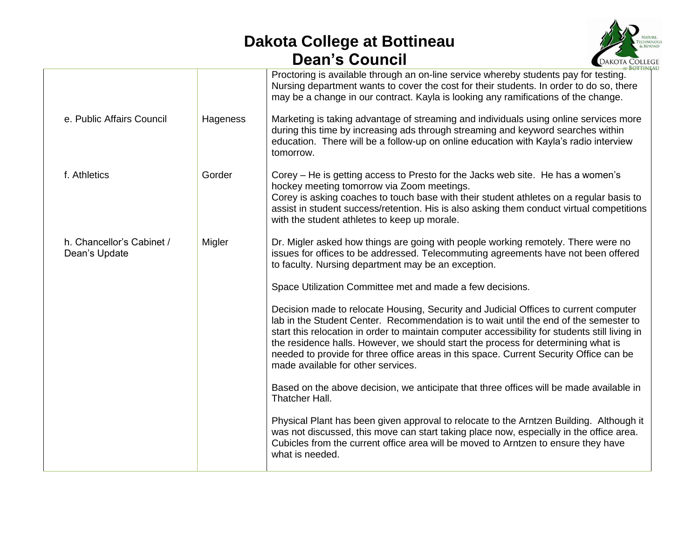

|                                            |          | AT BOTTINEA<br>Proctoring is available through an on-line service whereby students pay for testing.<br>Nursing department wants to cover the cost for their students. In order to do so, there<br>may be a change in our contract. Kayla is looking any ramifications of the change.                                                                                                                                                                                                                 |
|--------------------------------------------|----------|------------------------------------------------------------------------------------------------------------------------------------------------------------------------------------------------------------------------------------------------------------------------------------------------------------------------------------------------------------------------------------------------------------------------------------------------------------------------------------------------------|
| e. Public Affairs Council                  | Hageness | Marketing is taking advantage of streaming and individuals using online services more<br>during this time by increasing ads through streaming and keyword searches within<br>education. There will be a follow-up on online education with Kayla's radio interview<br>tomorrow.                                                                                                                                                                                                                      |
| f. Athletics                               | Gorder   | Corey – He is getting access to Presto for the Jacks web site. He has a women's<br>hockey meeting tomorrow via Zoom meetings.<br>Corey is asking coaches to touch base with their student athletes on a regular basis to<br>assist in student success/retention. His is also asking them conduct virtual competitions<br>with the student athletes to keep up morale.                                                                                                                                |
| h. Chancellor's Cabinet /<br>Dean's Update | Migler   | Dr. Migler asked how things are going with people working remotely. There were no<br>issues for offices to be addressed. Telecommuting agreements have not been offered<br>to faculty. Nursing department may be an exception.                                                                                                                                                                                                                                                                       |
|                                            |          | Space Utilization Committee met and made a few decisions.                                                                                                                                                                                                                                                                                                                                                                                                                                            |
|                                            |          | Decision made to relocate Housing, Security and Judicial Offices to current computer<br>lab in the Student Center. Recommendation is to wait until the end of the semester to<br>start this relocation in order to maintain computer accessibility for students still living in<br>the residence halls. However, we should start the process for determining what is<br>needed to provide for three office areas in this space. Current Security Office can be<br>made available for other services. |
|                                            |          | Based on the above decision, we anticipate that three offices will be made available in<br>Thatcher Hall.                                                                                                                                                                                                                                                                                                                                                                                            |
|                                            |          | Physical Plant has been given approval to relocate to the Arntzen Building. Although it<br>was not discussed, this move can start taking place now, especially in the office area.<br>Cubicles from the current office area will be moved to Arntzen to ensure they have<br>what is needed.                                                                                                                                                                                                          |